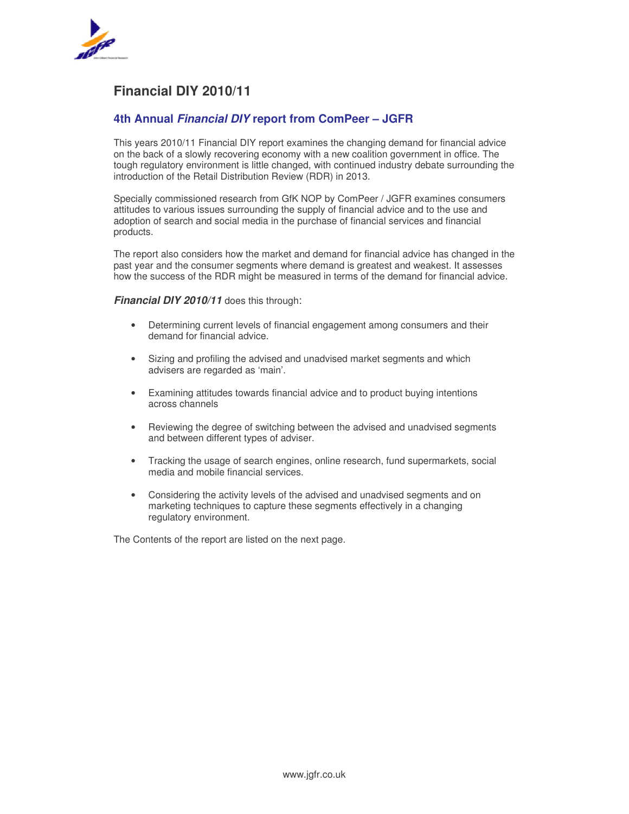

## **Financial DIY 2010/11**

### **4th Annual** *Financial DIY* **report from ComPeer – JGFR**

This years 2010/11 Financial DIY report examines the changing demand for financial advice on the back of a slowly recovering economy with a new coalition government in office. The tough regulatory environment is little changed, with continued industry debate surrounding the introduction of the Retail Distribution Review (RDR) in 2013.

Specially commissioned research from GfK NOP by ComPeer / JGFR examines consumers attitudes to various issues surrounding the supply of financial advice and to the use and adoption of search and social media in the purchase of financial services and financial products.

The report also considers how the market and demand for financial advice has changed in the past year and the consumer segments where demand is greatest and weakest. It assesses how the success of the RDR might be measured in terms of the demand for financial advice.

#### *Financial DIY 2010/11* does this through:

- Determining current levels of financial engagement among consumers and their demand for financial advice.
- Sizing and profiling the advised and unadvised market segments and which advisers are regarded as 'main'.
- Examining attitudes towards financial advice and to product buying intentions across channels
- Reviewing the degree of switching between the advised and unadvised segments and between different types of adviser.
- Tracking the usage of search engines, online research, fund supermarkets, social media and mobile financial services.
- Considering the activity levels of the advised and unadvised segments and on marketing techniques to capture these segments effectively in a changing regulatory environment.

The Contents of the report are listed on the next page.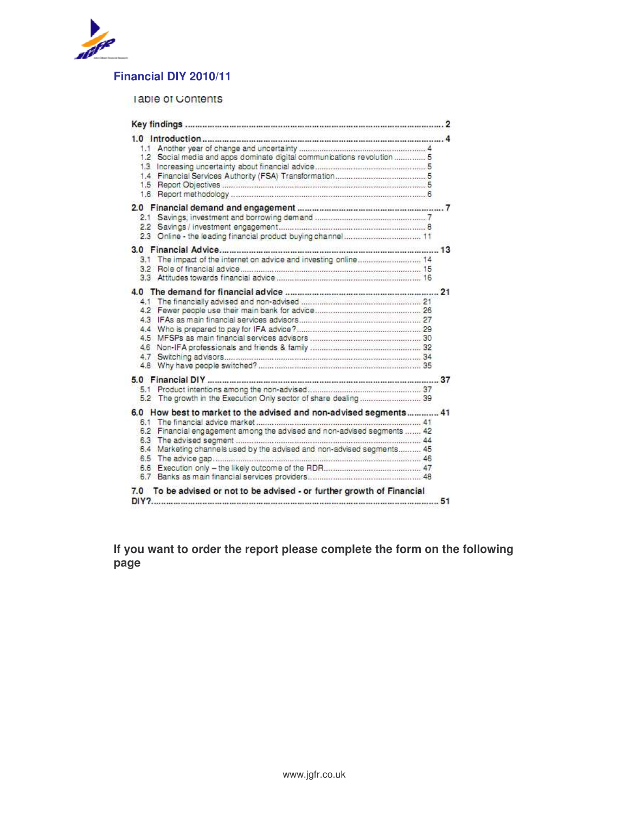

# **Financial DIY 2010/11**

### lable of Contents

| 1.2 Social media and apps dominate digital communications revolution  5                                                                                                                                                       |  |
|-------------------------------------------------------------------------------------------------------------------------------------------------------------------------------------------------------------------------------|--|
|                                                                                                                                                                                                                               |  |
| The impact of the internet on advice and investing online 14<br>3.1                                                                                                                                                           |  |
|                                                                                                                                                                                                                               |  |
| 5.2 The growth in the Execution Only sector of share dealing  39                                                                                                                                                              |  |
| 6.0 How best to market to the advised and non-advised segments 41<br>6.2 Financial engagement among the advised and non-advised segments  42<br>6.4 Marketing channels used by the advised and non-advised segments 45<br>6.6 |  |
| 7.0 To be advised or not to be advised - or further growth of Financial                                                                                                                                                       |  |

**If you want to order the report please complete the form on the following page**